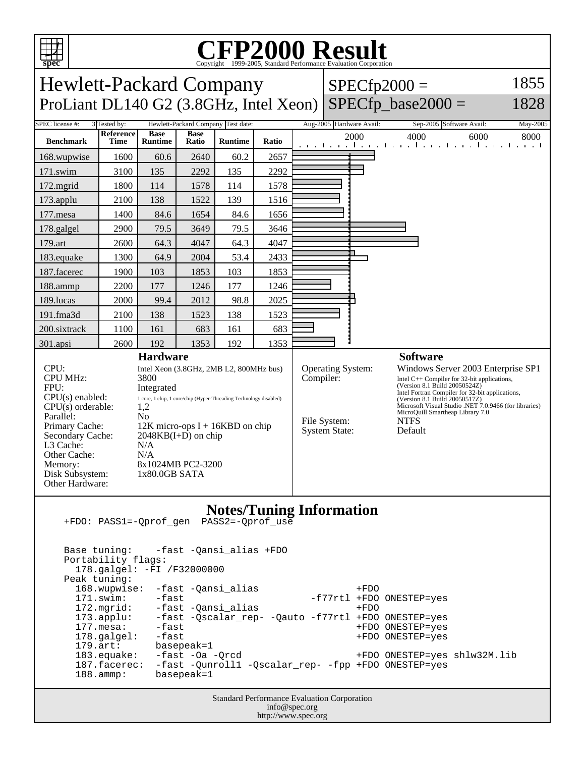

## C<sub>opyright</sub> ©1999-2005, Standard Performance Evaluation Corporation

| <b>Hewlett-Packard Company</b><br>ProLiant DL140 G2 (3.8GHz, Intel Xeon)                                                                                                                                     |                          |                                                                                                                                                                                                                                                                                                  |                      |                |       |  | $SPECfp2000 =$                                                                | $SPECfp$ base2000 =                                                                                                                             | 1855<br>1828                                                                                                                                                                                    |  |
|--------------------------------------------------------------------------------------------------------------------------------------------------------------------------------------------------------------|--------------------------|--------------------------------------------------------------------------------------------------------------------------------------------------------------------------------------------------------------------------------------------------------------------------------------------------|----------------------|----------------|-------|--|-------------------------------------------------------------------------------|-------------------------------------------------------------------------------------------------------------------------------------------------|-------------------------------------------------------------------------------------------------------------------------------------------------------------------------------------------------|--|
| SPEC license #:<br>Hewlett-Packard Company Test date:<br>3 Tested by:                                                                                                                                        |                          |                                                                                                                                                                                                                                                                                                  |                      |                |       |  | Aug-2005 Hardware Avail:                                                      | Sep-2005 Software Avail:                                                                                                                        | May-2005                                                                                                                                                                                        |  |
| <b>Benchmark</b>                                                                                                                                                                                             | Reference<br><b>Time</b> | <b>Base</b><br><b>Runtime</b>                                                                                                                                                                                                                                                                    | <b>Base</b><br>Ratio | <b>Runtime</b> | Ratio |  | 2000                                                                          | 4000<br>6000<br>التعبيلية بالتعبيلية وبالتعبيل والمعتالية والتعب                                                                                | 8000                                                                                                                                                                                            |  |
| 168.wupwise                                                                                                                                                                                                  | 1600                     | 60.6                                                                                                                                                                                                                                                                                             | 2640                 | 60.2           | 2657  |  |                                                                               |                                                                                                                                                 |                                                                                                                                                                                                 |  |
| 171.swim                                                                                                                                                                                                     | 3100                     | 135                                                                                                                                                                                                                                                                                              | 2292                 | 135            | 2292  |  |                                                                               |                                                                                                                                                 |                                                                                                                                                                                                 |  |
| 172.mgrid                                                                                                                                                                                                    | 1800                     | 114                                                                                                                                                                                                                                                                                              | 1578                 | 114            | 1578  |  |                                                                               |                                                                                                                                                 |                                                                                                                                                                                                 |  |
| 173.applu                                                                                                                                                                                                    | 2100                     | 138                                                                                                                                                                                                                                                                                              | 1522                 | 139            | 1516  |  |                                                                               |                                                                                                                                                 |                                                                                                                                                                                                 |  |
| 177.mesa                                                                                                                                                                                                     | 1400                     | 84.6                                                                                                                                                                                                                                                                                             | 1654                 | 84.6           | 1656  |  |                                                                               |                                                                                                                                                 |                                                                                                                                                                                                 |  |
| 178.galgel                                                                                                                                                                                                   | 2900                     | 79.5                                                                                                                                                                                                                                                                                             | 3649                 | 79.5           | 3646  |  |                                                                               |                                                                                                                                                 |                                                                                                                                                                                                 |  |
| 179.art                                                                                                                                                                                                      | 2600                     | 64.3                                                                                                                                                                                                                                                                                             | 4047                 | 64.3           | 4047  |  |                                                                               |                                                                                                                                                 |                                                                                                                                                                                                 |  |
| 183.equake                                                                                                                                                                                                   | 1300                     | 64.9                                                                                                                                                                                                                                                                                             | 2004                 | 53.4           | 2433  |  |                                                                               |                                                                                                                                                 |                                                                                                                                                                                                 |  |
| 187.facerec                                                                                                                                                                                                  | 1900                     | 103                                                                                                                                                                                                                                                                                              | 1853                 | 103            | 1853  |  |                                                                               |                                                                                                                                                 |                                                                                                                                                                                                 |  |
| 188.ammp                                                                                                                                                                                                     | 2200                     | 177                                                                                                                                                                                                                                                                                              | 1246                 | 177            | 1246  |  |                                                                               |                                                                                                                                                 |                                                                                                                                                                                                 |  |
| 189.lucas                                                                                                                                                                                                    | 2000                     | 99.4                                                                                                                                                                                                                                                                                             | 2012                 | 98.8           | 2025  |  |                                                                               |                                                                                                                                                 |                                                                                                                                                                                                 |  |
| 191.fma3d                                                                                                                                                                                                    | 2100                     | 138                                                                                                                                                                                                                                                                                              | 1523                 | 138            | 1523  |  |                                                                               |                                                                                                                                                 |                                                                                                                                                                                                 |  |
| 200.sixtrack                                                                                                                                                                                                 | 1100                     | 161                                                                                                                                                                                                                                                                                              | 683                  | 161            | 683   |  |                                                                               |                                                                                                                                                 |                                                                                                                                                                                                 |  |
| 301.apsi                                                                                                                                                                                                     | 2600                     | 192                                                                                                                                                                                                                                                                                              | 1353                 | 192            | 1353  |  |                                                                               |                                                                                                                                                 |                                                                                                                                                                                                 |  |
| CPU:<br><b>CPU MHz:</b><br>FPU:<br>$CPU(s)$ enabled:<br>$CPU(s)$ orderable:<br>Parallel:<br>Primary Cache:<br>Secondary Cache:<br>L3 Cache:<br>Other Cache:<br>Memory:<br>Disk Subsystem:<br>Other Hardware: |                          | <b>Hardware</b><br>Intel Xeon (3.8GHz, 2MB L2, 800MHz bus)<br>3800<br>Integrated<br>1 core, 1 chip, 1 core/chip (Hyper-Threading Technology disabled)<br>1,2<br>N <sub>o</sub><br>12K micro-ops $I + 16KBD$ on chip<br>$2048KB(I+D)$ on chip<br>N/A<br>N/A<br>8x1024MB PC2-3200<br>1x80.0GB SATA |                      |                |       |  | <b>Operating System:</b><br>Compiler:<br>File System:<br><b>System State:</b> | <b>Software</b><br>(Version 8.1 Build 20050524Z)<br>(Version 8.1 Build 20050517Z)<br>MicroQuill Smartheap Library 7.0<br><b>NTFS</b><br>Default | Windows Server 2003 Enterprise SP1<br>Intel $C++$ Compiler for 32-bit applications,<br>Intel Fortran Compiler for 32-bit applications,<br>Microsoft Visual Studio .NET 7.0.9466 (for libraries) |  |
| <b>Notes/Tuning Information</b><br>PASS2=-Qprof_use<br>+FDO: PASS1=-Qprof_gen                                                                                                                                |                          |                                                                                                                                                                                                                                                                                                  |                      |                |       |  |                                                                               |                                                                                                                                                 |                                                                                                                                                                                                 |  |

 Base tuning: -fast -Qansi\_alias +FDO Portability flags: 178.galgel: -FI /F32000000 Peak tuning: 168.wupwise: -fast -Qansi\_alias +FDO<br>171.swim: -fast -cansi\_alias -f77rtl +FDO -f77rtl +FDO ONESTEP=yes 172.mgrid: -fast -Qansi\_alias +FDO<br>173.applu: -fast -Qscalar\_rep- -Qauto -f77rtl +FDO 103.befast -Qscalar\_rep- -Qauto -f77rtl +FDO ONESTEP=yes-<br>173.befast +FDO ONESTEP=yes- 177.mesa: -fast +FDO ONESTEP=yes 178.galgel: -fast +FDO ONESTEP=yes<br>179.art: basepeak=1 basepeak=1 183.equake: -fast -Oa -Qrcd +FDO ONESTEP=yes shlw32M.lib 187.facerec: -fast -Qunroll1 -Qscalar\_rep- -fpp +FDO ONESTEP=yes 188.ammp: basepeak=1

> Standard Performance Evaluation Corporation info@spec.org http://www.spec.org